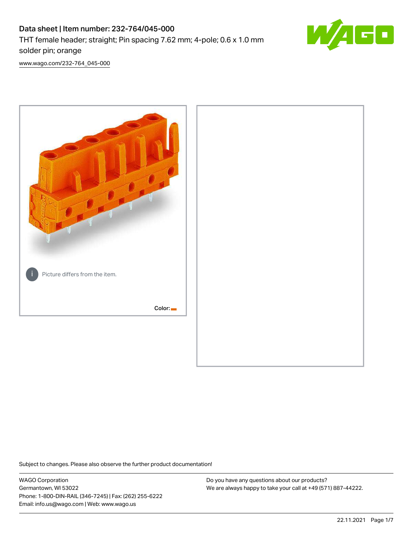# Data sheet | Item number: 232-764/045-000 THT female header; straight; Pin spacing 7.62 mm; 4-pole; 0.6 x 1.0 mm solder pin; orange



[www.wago.com/232-764\\_045-000](http://www.wago.com/232-764_045-000)



Subject to changes. Please also observe the further product documentation!

WAGO Corporation Germantown, WI 53022 Phone: 1-800-DIN-RAIL (346-7245) | Fax: (262) 255-6222 Email: info.us@wago.com | Web: www.wago.us

Do you have any questions about our products? We are always happy to take your call at +49 (571) 887-44222.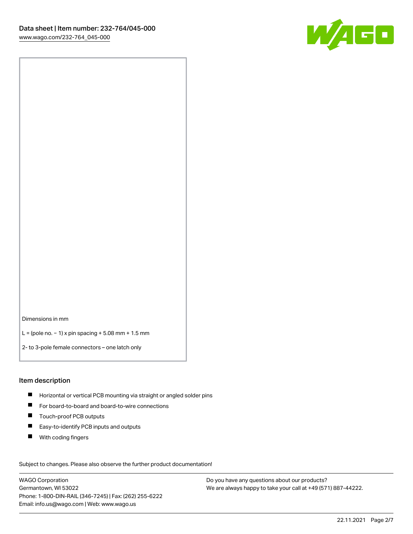

Dimensions in mm

L = (pole no. − 1) x pin spacing + 5.08 mm + 1.5 mm

2- to 3-pole female connectors – one latch only

#### Item description

- **H** Horizontal or vertical PCB mounting via straight or angled solder pins
- For board-to-board and board-to-wire connections
- Touch-proof PCB outputs  $\blacksquare$
- $\blacksquare$ Easy-to-identify PCB inputs and outputs
- $\blacksquare$ With coding fingers

Subject to changes. Please also observe the further product documentation! Data

WAGO Corporation Germantown, WI 53022 Phone: 1-800-DIN-RAIL (346-7245) | Fax: (262) 255-6222 Email: info.us@wago.com | Web: www.wago.us

Do you have any questions about our products? We are always happy to take your call at +49 (571) 887-44222.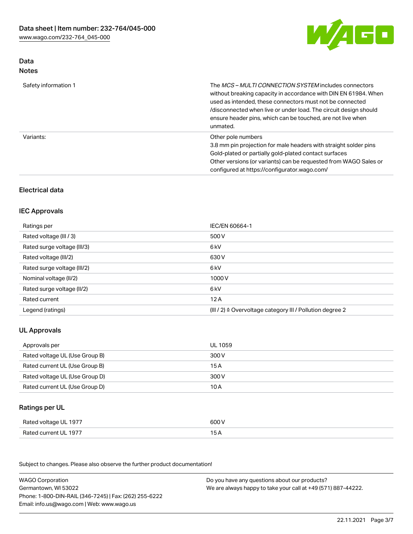

## Data Notes

| Safety information 1 | The <i>MCS – MULTI CONNECTION SYSTEM</i> includes connectors<br>without breaking capacity in accordance with DIN EN 61984. When<br>used as intended, these connectors must not be connected<br>/disconnected when live or under load. The circuit design should<br>ensure header pins, which can be touched, are not live when<br>unmated. |
|----------------------|--------------------------------------------------------------------------------------------------------------------------------------------------------------------------------------------------------------------------------------------------------------------------------------------------------------------------------------------|
| Variants:            | Other pole numbers<br>3.8 mm pin projection for male headers with straight solder pins<br>Gold-plated or partially gold-plated contact surfaces<br>Other versions (or variants) can be requested from WAGO Sales or<br>configured at https://configurator.wago.com/                                                                        |

# Electrical data

## IEC Approvals

| Ratings per                 | IEC/EN 60664-1                                                        |
|-----------------------------|-----------------------------------------------------------------------|
| Rated voltage (III / 3)     | 500 V                                                                 |
| Rated surge voltage (III/3) | 6 kV                                                                  |
| Rated voltage (III/2)       | 630 V                                                                 |
| Rated surge voltage (III/2) | 6 kV                                                                  |
| Nominal voltage (II/2)      | 1000 V                                                                |
| Rated surge voltage (II/2)  | 6 kV                                                                  |
| Rated current               | 12A                                                                   |
| Legend (ratings)            | $(III / 2)$ $\triangle$ Overvoltage category III / Pollution degree 2 |

## UL Approvals

| Approvals per                  | UL 1059 |
|--------------------------------|---------|
| Rated voltage UL (Use Group B) | 300 V   |
| Rated current UL (Use Group B) | 15 A    |
| Rated voltage UL (Use Group D) | 300 V   |
| Rated current UL (Use Group D) | 10 A    |

# Ratings per UL

| Rated voltage UL 1977 | 600 V |
|-----------------------|-------|
| Rated current UL 1977 |       |

Subject to changes. Please also observe the further product documentation!

| <b>WAGO Corporation</b>                                | Do you have any questions about our products?                 |
|--------------------------------------------------------|---------------------------------------------------------------|
| Germantown, WI 53022                                   | We are always happy to take your call at +49 (571) 887-44222. |
| Phone: 1-800-DIN-RAIL (346-7245)   Fax: (262) 255-6222 |                                                               |
| Email: info.us@wago.com   Web: www.wago.us             |                                                               |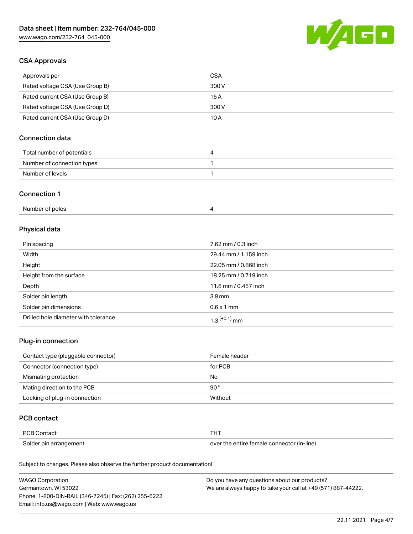

## CSA Approvals

| Approvals per                   | CSA   |
|---------------------------------|-------|
| Rated voltage CSA (Use Group B) | 300 V |
| Rated current CSA (Use Group B) | 15 A  |
| Rated voltage CSA (Use Group D) | 300 V |
| Rated current CSA (Use Group D) | 10 A  |

# Connection data

| Total number of potentials |  |
|----------------------------|--|
| Number of connection types |  |
| Number of levels           |  |

#### Connection 1

| Number of poles |  |  |
|-----------------|--|--|
|-----------------|--|--|

# Physical data

| Pin spacing                          | 7.62 mm / 0.3 inch    |
|--------------------------------------|-----------------------|
| Width                                | 29.44 mm / 1.159 inch |
| Height                               | 22.05 mm / 0.868 inch |
| Height from the surface              | 18.25 mm / 0.719 inch |
| Depth                                | 11.6 mm / 0.457 inch  |
| Solder pin length                    | 3.8 <sub>mm</sub>     |
| Solder pin dimensions                | $0.6 \times 1$ mm     |
| Drilled hole diameter with tolerance | $1.3$ $(+0.1)$ mm     |

## Plug-in connection

| Contact type (pluggable connector) | Female header |
|------------------------------------|---------------|
| Connector (connection type)        | for PCB       |
| Mismating protection               | No            |
| Mating direction to the PCB        | 90 $^{\circ}$ |
| Locking of plug-in connection      | Without       |

## PCB contact

| <b>PCB Contact</b>     | THT                                        |
|------------------------|--------------------------------------------|
| Solder pin arrangement | over the entire female connector (in-line) |

Subject to changes. Please also observe the further product documentation!

| <b>WAGO Corporation</b>                                | Do you have any questions about our products?                 |
|--------------------------------------------------------|---------------------------------------------------------------|
| Germantown, WI 53022                                   | We are always happy to take your call at +49 (571) 887-44222. |
| Phone: 1-800-DIN-RAIL (346-7245)   Fax: (262) 255-6222 |                                                               |
| Email: info.us@wago.com   Web: www.wago.us             |                                                               |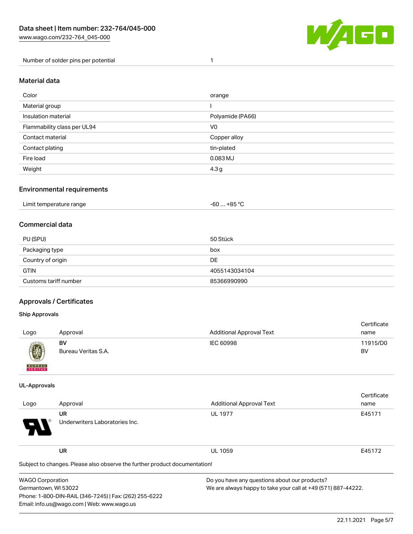

Number of solder pins per potential 1

### Material data

| Color                       | orange           |
|-----------------------------|------------------|
| Material group              |                  |
| Insulation material         | Polyamide (PA66) |
| Flammability class per UL94 | V <sub>0</sub>   |
| Contact material            | Copper alloy     |
| Contact plating             | tin-plated       |
| Fire load                   | 0.083 MJ         |
| Weight                      | 4.3 <sub>g</sub> |

## Environmental requirements

| Limit temperature range<br>. | … +85 ° <sup>∩</sup><br>-60 … |
|------------------------------|-------------------------------|
|------------------------------|-------------------------------|

## Commercial data

| PU (SPU)              | 50 Stück      |
|-----------------------|---------------|
| Packaging type        | box           |
| Country of origin     | DE            |
| <b>GTIN</b>           | 4055143034104 |
| Customs tariff number | 85366990990   |

## Approvals / Certificates

Phone: 1-800-DIN-RAIL (346-7245) | Fax: (262) 255-6222

Email: info.us@wago.com | Web: www.wago.us

#### Ship Approvals

| Logo                                                                                                                                                                                                                                                                                                                                                                                                                                                                                | Approval                  | <b>Additional Approval Text</b> | Certificate<br>name |
|-------------------------------------------------------------------------------------------------------------------------------------------------------------------------------------------------------------------------------------------------------------------------------------------------------------------------------------------------------------------------------------------------------------------------------------------------------------------------------------|---------------------------|---------------------------------|---------------------|
| $\bigcirc\!\!\!\!\! \bigcirc\!\!\!\!\! \bigcirc\!\!\!\!\! \bigcirc\!\!\!\!\! \bigcirc\!\!\!\!\! \bigcirc\!\!\!\!\! \bigcirc\!\!\!\!\! \bigcirc\!\!\!\!\! \bigcirc\!\!\!\!\! \bigcirc\!\!\!\!\! \bigcirc\!\!\!\!\! \bigcirc\!\!\!\!\! \bigcirc\!\!\!\!\! \bigcirc\!\!\!\!\! \bigcirc\!\!\!\!\! \bigcirc\!\!\!\!\! \bigcirc\!\!\!\!\! \bigcirc\!\!\!\!\! \bigcirc\!\!\!\!\! \bigcirc\!\!\!\!\! \bigcirc\!\!\!\!\! \bigcirc\!\!\!\!\! \bigcirc\!\!\!\!\! \bigcirc\!\!\!\!\! \bigcirc\$ | BV<br>Bureau Veritas S.A. | IEC 60998                       | 11915/D0<br>BV      |
| <b>BUREAU</b>                                                                                                                                                                                                                                                                                                                                                                                                                                                                       |                           |                                 |                     |

#### UL-Approvals

|                         |                                                                            |                                               | Certificate                                                   |  |  |
|-------------------------|----------------------------------------------------------------------------|-----------------------------------------------|---------------------------------------------------------------|--|--|
| Logo                    | Approval                                                                   | <b>Additional Approval Text</b>               | name                                                          |  |  |
|                         | UR                                                                         | <b>UL 1977</b>                                | E45171                                                        |  |  |
|                         | Underwriters Laboratories Inc.                                             |                                               |                                                               |  |  |
|                         | <b>UR</b>                                                                  | <b>UL 1059</b>                                | E45172                                                        |  |  |
|                         | Subject to changes. Please also observe the further product documentation! |                                               |                                                               |  |  |
| <b>WAGO Corporation</b> |                                                                            | Do you have any questions about our products? |                                                               |  |  |
| Germantown, WI 53022    |                                                                            |                                               | We are always happy to take your call at +49 (571) 887-44222. |  |  |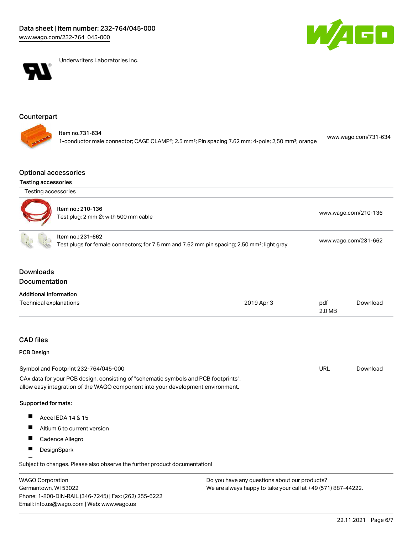



Underwriters Laboratories Inc.

# Counterpart

| ltem no.731-634<br>1-conductor male connector; CAGE CLAMP®; 2.5 mm <sup>2</sup> ; Pin spacing 7.62 mm; 4-pole; 2,50 mm <sup>2</sup> ; orange | www.wago.com/731-634 |
|----------------------------------------------------------------------------------------------------------------------------------------------|----------------------|
|----------------------------------------------------------------------------------------------------------------------------------------------|----------------------|

#### Optional accessories

## Testing accessories

| Testing accessories                      |                                                                                                                                                                        |                                                                                                         |                      |                      |  |
|------------------------------------------|------------------------------------------------------------------------------------------------------------------------------------------------------------------------|---------------------------------------------------------------------------------------------------------|----------------------|----------------------|--|
|                                          | Item no.: 210-136<br>Test plug; 2 mm Ø; with 500 mm cable                                                                                                              |                                                                                                         | www.wago.com/210-136 |                      |  |
|                                          | Item no.: 231-662                                                                                                                                                      | Test plugs for female connectors; for 7.5 mm and 7.62 mm pin spacing; 2,50 mm <sup>2</sup> ; light gray |                      | www.wago.com/231-662 |  |
| <b>Downloads</b><br><b>Documentation</b> |                                                                                                                                                                        |                                                                                                         |                      |                      |  |
| <b>Additional Information</b>            |                                                                                                                                                                        |                                                                                                         |                      |                      |  |
| <b>Technical explanations</b>            |                                                                                                                                                                        | 2019 Apr 3                                                                                              | pdf<br>2.0 MB        | Download             |  |
| <b>CAD files</b>                         |                                                                                                                                                                        |                                                                                                         |                      |                      |  |
| <b>PCB Design</b>                        |                                                                                                                                                                        |                                                                                                         |                      |                      |  |
|                                          | Symbol and Footprint 232-764/045-000                                                                                                                                   |                                                                                                         | <b>URL</b>           | Download             |  |
|                                          | CAx data for your PCB design, consisting of "schematic symbols and PCB footprints",<br>allow easy integration of the WAGO component into your development environment. |                                                                                                         |                      |                      |  |
| Supported formats:                       |                                                                                                                                                                        |                                                                                                         |                      |                      |  |
| Ш                                        | Accel EDA 14 & 15                                                                                                                                                      |                                                                                                         |                      |                      |  |
| ш                                        | Altium 6 to current version                                                                                                                                            |                                                                                                         |                      |                      |  |
|                                          | Cadence Allegro                                                                                                                                                        |                                                                                                         |                      |                      |  |
| ш                                        | DesignSpark                                                                                                                                                            |                                                                                                         |                      |                      |  |
|                                          | Subject to changes. Please also observe the further product documentation!                                                                                             |                                                                                                         |                      |                      |  |
| <b>WAGO Corporation</b>                  |                                                                                                                                                                        | Do you have any questions about our products?                                                           |                      |                      |  |

Germantown, WI 53022 Phone: 1-800-DIN-RAIL (346-7245) | Fax: (262) 255-6222 Email: info.us@wago.com | Web: www.wago.us

We are always happy to take your call at +49 (571) 887-44222.